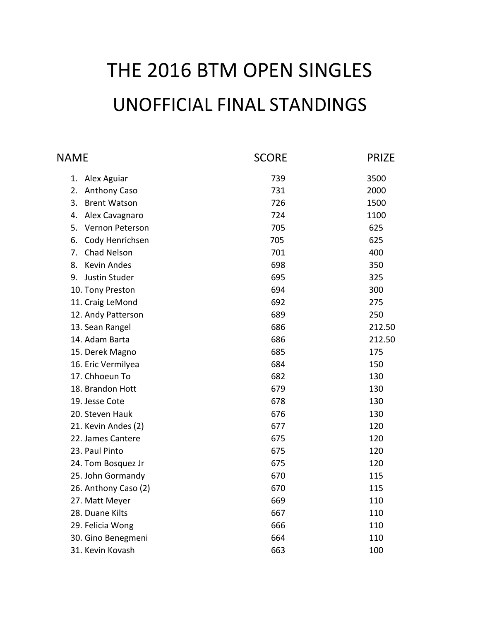# THE 2016 BTM OPEN SINGLES UNOFFICIAL FINAL STANDINGS

| <b>NAME</b>               | <b>SCORE</b> | <b>PRIZE</b> |
|---------------------------|--------------|--------------|
| 1.<br>Alex Aguiar         | 739          | 3500         |
| 2.<br>Anthony Caso        | 731          | 2000         |
| 3.<br><b>Brent Watson</b> | 726          | 1500         |
| 4.<br>Alex Cavagnaro      | 724          | 1100         |
| 5.<br>Vernon Peterson     | 705          | 625          |
| Cody Henrichsen<br>6.     | 705          | 625          |
| Chad Nelson<br>7.         | 701          | 400          |
| <b>Kevin Andes</b><br>8.  | 698          | 350          |
| Justin Studer<br>9.       | 695          | 325          |
| 10. Tony Preston          | 694          | 300          |
| 11. Craig LeMond          | 692          | 275          |
| 12. Andy Patterson        | 689          | 250          |
| 13. Sean Rangel           | 686          | 212.50       |
| 14. Adam Barta            | 686          | 212.50       |
| 15. Derek Magno           | 685          | 175          |
| 16. Eric Vermilyea        | 684          | 150          |
| 17. Chhoeun To            | 682          | 130          |
| 18. Brandon Hott          | 679          | 130          |
| 19. Jesse Cote            | 678          | 130          |
| 20. Steven Hauk           | 676          | 130          |
| 21. Kevin Andes (2)       | 677          | 120          |
| 22. James Cantere         | 675          | 120          |
| 23. Paul Pinto            | 675          | 120          |
| 24. Tom Bosquez Jr        | 675          | 120          |
| 25. John Gormandy         | 670          | 115          |
| 26. Anthony Caso (2)      | 670          | 115          |
| 27. Matt Meyer            | 669          | 110          |
| 28. Duane Kilts           | 667          | 110          |
| 29. Felicia Wong          | 666          | 110          |
| 30. Gino Benegmeni        | 664          | 110          |
| 31. Kevin Kovash          | 663          | 100          |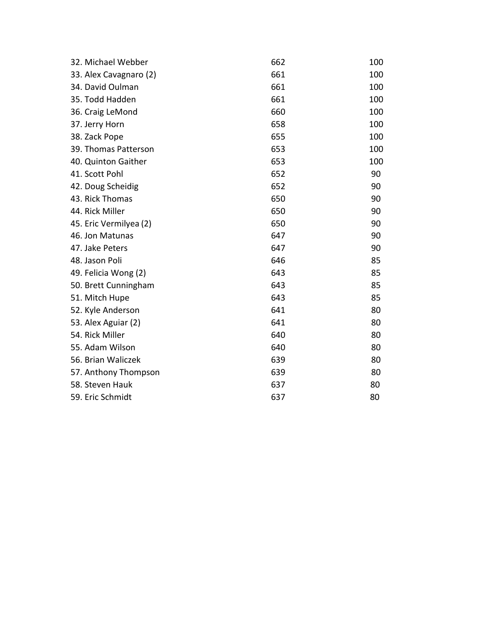| 32. Michael Webber     | 662 | 100 |
|------------------------|-----|-----|
| 33. Alex Cavagnaro (2) | 661 | 100 |
| 34. David Oulman       | 661 | 100 |
| 35. Todd Hadden        | 661 | 100 |
| 36. Craig LeMond       | 660 | 100 |
| 37. Jerry Horn         | 658 | 100 |
| 38. Zack Pope          | 655 | 100 |
| 39. Thomas Patterson   | 653 | 100 |
| 40. Quinton Gaither    | 653 | 100 |
| 41. Scott Pohl         | 652 | 90  |
| 42. Doug Scheidig      | 652 | 90  |
| 43. Rick Thomas        | 650 | 90  |
| 44. Rick Miller        | 650 | 90  |
| 45. Eric Vermilyea (2) | 650 | 90  |
| 46. Jon Matunas        | 647 | 90  |
| 47. Jake Peters        | 647 | 90  |
| 48. Jason Poli         | 646 | 85  |
| 49. Felicia Wong (2)   | 643 | 85  |
| 50. Brett Cunningham   | 643 | 85  |
| 51. Mitch Hupe         | 643 | 85  |
| 52. Kyle Anderson      | 641 | 80  |
| 53. Alex Aguiar (2)    | 641 | 80  |
| 54. Rick Miller        | 640 | 80  |
| 55. Adam Wilson        | 640 | 80  |
| 56. Brian Waliczek     | 639 | 80  |
| 57. Anthony Thompson   | 639 | 80  |
| 58. Steven Hauk        | 637 | 80  |
| 59. Eric Schmidt       | 637 | 80  |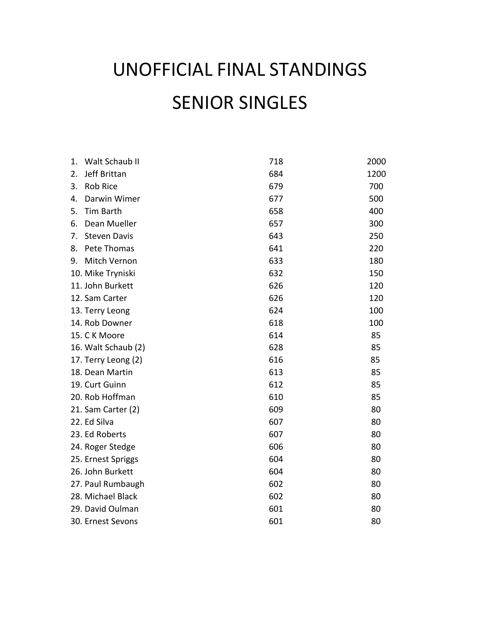## UNOFFICIAL FINAL STANDINGS SENIOR SINGLES

| 1. | Walt Schaub II      | 718 | 2000 |
|----|---------------------|-----|------|
| 2. | Jeff Brittan        | 684 | 1200 |
| 3. | <b>Rob Rice</b>     | 679 | 700  |
| 4. | Darwin Wimer        | 677 | 500  |
| 5. | Tim Barth           | 658 | 400  |
| 6. | Dean Mueller        | 657 | 300  |
| 7. | <b>Steven Davis</b> | 643 | 250  |
| 8. | Pete Thomas         | 641 | 220  |
| 9. | Mitch Vernon        | 633 | 180  |
|    | 10. Mike Tryniski   | 632 | 150  |
|    | 11. John Burkett    | 626 | 120  |
|    | 12. Sam Carter      | 626 | 120  |
|    | 13. Terry Leong     | 624 | 100  |
|    | 14. Rob Downer      | 618 | 100  |
|    | 15. C K Moore       | 614 | 85   |
|    | 16. Walt Schaub (2) | 628 | 85   |
|    | 17. Terry Leong (2) | 616 | 85   |
|    | 18. Dean Martin     | 613 | 85   |
|    | 19. Curt Guinn      | 612 | 85   |
|    | 20. Rob Hoffman     | 610 | 85   |
|    | 21. Sam Carter (2)  | 609 | 80   |
|    | 22. Ed Silva        | 607 | 80   |
|    | 23. Ed Roberts      | 607 | 80   |
|    | 24. Roger Stedge    | 606 | 80   |
|    | 25. Ernest Spriggs  | 604 | 80   |
|    | 26. John Burkett    | 604 | 80   |
|    | 27. Paul Rumbaugh   | 602 | 80   |
|    | 28. Michael Black   | 602 | 80   |
|    | 29. David Oulman    | 601 | 80   |
|    | 30. Ernest Sevons   | 601 | 80   |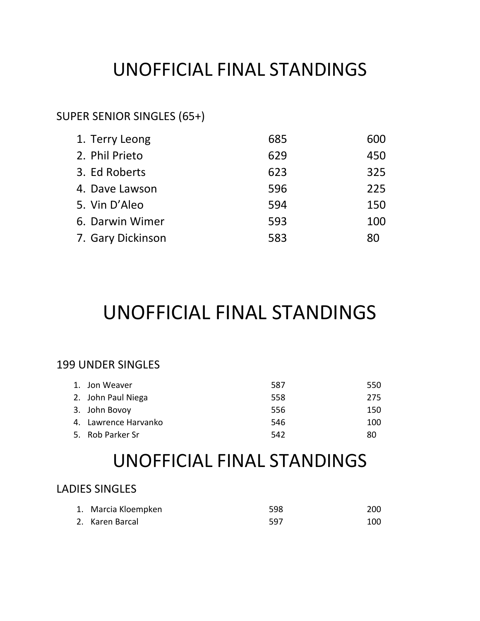#### UNOFFICIAL FINAL STANDINGS

#### SUPER SENIOR SINGLES (65+)

| 1. Terry Leong    | 685 | 600 |
|-------------------|-----|-----|
| 2. Phil Prieto    | 629 | 450 |
| 3. Ed Roberts     | 623 | 325 |
| 4. Dave Lawson    | 596 | 225 |
| 5. Vin D'Aleo     | 594 | 150 |
| 6. Darwin Wimer   | 593 | 100 |
| 7. Gary Dickinson | 583 | 80  |

## UNOFFICIAL FINAL STANDINGS

#### 199 UNDER SINGLES

| 1. Jon Weaver        | 587 | 550 |
|----------------------|-----|-----|
| 2. John Paul Niega   | 558 | 275 |
| 3. John Bovoy        | 556 | 150 |
| 4. Lawrence Harvanko | 546 | 100 |
| 5. Rob Parker Sr     | 542 | 80  |

#### UNOFFICIAL FINAL STANDINGS

#### LADIES SINGLES

| 1. Marcia Kloempken | 598 | 200 |
|---------------------|-----|-----|
| 2. Karen Barcal     | 597 | 100 |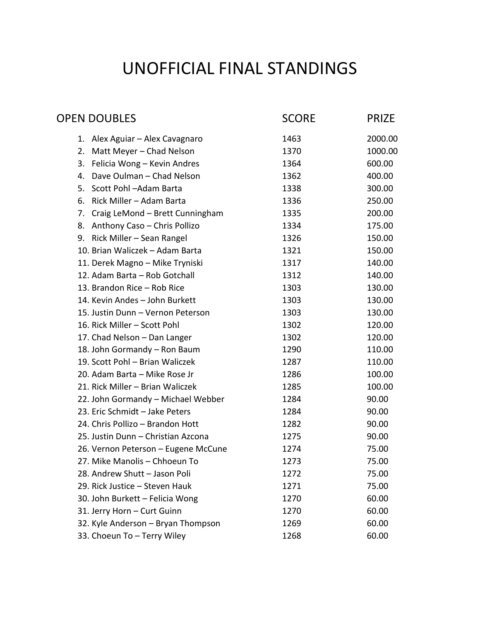#### UNOFFICIAL FINAL STANDINGS

| <b>OPEN DOUBLES</b> |                                     | <b>SCORE</b> | <b>PRIZE</b> |
|---------------------|-------------------------------------|--------------|--------------|
|                     | 1. Alex Aguiar - Alex Cavagnaro     | 1463         | 2000.00      |
| 2.                  | Matt Meyer - Chad Nelson            | 1370         | 1000.00      |
|                     | 3. Felicia Wong - Kevin Andres      | 1364         | 600.00       |
| 4.                  | Dave Oulman - Chad Nelson           | 1362         | 400.00       |
|                     | 5. Scott Pohl-Adam Barta            | 1338         | 300.00       |
|                     | 6. Rick Miller - Adam Barta         | 1336         | 250.00       |
|                     | 7. Craig LeMond - Brett Cunningham  | 1335         | 200.00       |
|                     | 8. Anthony Caso - Chris Pollizo     | 1334         | 175.00       |
|                     | 9. Rick Miller - Sean Rangel        | 1326         | 150.00       |
|                     | 10. Brian Waliczek - Adam Barta     | 1321         | 150.00       |
|                     | 11. Derek Magno - Mike Tryniski     | 1317         | 140.00       |
|                     | 12. Adam Barta - Rob Gotchall       | 1312         | 140.00       |
|                     | 13. Brandon Rice - Rob Rice         | 1303         | 130.00       |
|                     | 14. Kevin Andes - John Burkett      | 1303         | 130.00       |
|                     | 15. Justin Dunn - Vernon Peterson   | 1303         | 130.00       |
|                     | 16. Rick Miller - Scott Pohl        | 1302         | 120.00       |
|                     | 17. Chad Nelson - Dan Langer        | 1302         | 120.00       |
|                     | 18. John Gormandy - Ron Baum        | 1290         | 110.00       |
|                     | 19. Scott Pohl - Brian Waliczek     | 1287         | 110.00       |
|                     | 20. Adam Barta - Mike Rose Jr       | 1286         | 100.00       |
|                     | 21. Rick Miller - Brian Waliczek    | 1285         | 100.00       |
|                     | 22. John Gormandy - Michael Webber  | 1284         | 90.00        |
|                     | 23. Eric Schmidt - Jake Peters      | 1284         | 90.00        |
|                     | 24. Chris Pollizo - Brandon Hott    | 1282         | 90.00        |
|                     | 25. Justin Dunn - Christian Azcona  | 1275         | 90.00        |
|                     | 26. Vernon Peterson - Eugene McCune | 1274         | 75.00        |
|                     | 27. Mike Manolis - Chhoeun To       | 1273         | 75.00        |
|                     | 28. Andrew Shutt - Jason Poli       | 1272         | 75.00        |
|                     | 29. Rick Justice - Steven Hauk      | 1271         | 75.00        |
|                     | 30. John Burkett - Felicia Wong     | 1270         | 60.00        |
|                     | 31. Jerry Horn - Curt Guinn         | 1270         | 60.00        |
|                     | 32. Kyle Anderson - Bryan Thompson  | 1269         | 60.00        |
|                     | 33. Choeun To - Terry Wiley         | 1268         | 60.00        |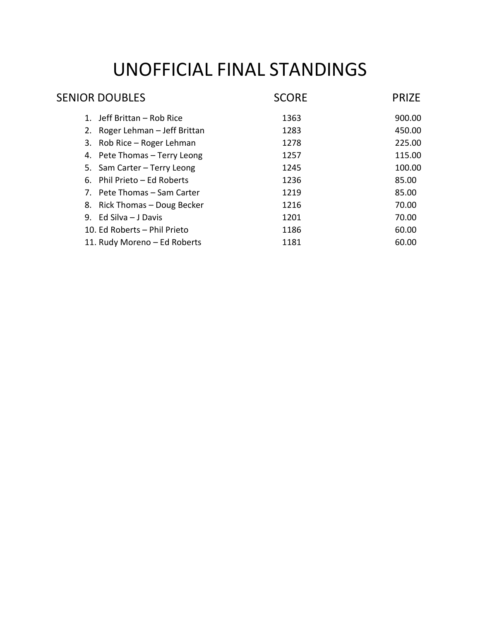## UNOFFICIAL FINAL STANDINGS

| <b>SENIOR DOUBLES</b>          | <b>SCORE</b> | <b>PRIZE</b> |
|--------------------------------|--------------|--------------|
| 1. Jeff Brittan – Rob Rice     | 1363         | 900.00       |
| 2. Roger Lehman - Jeff Brittan | 1283         | 450.00       |
| 3. Rob Rice - Roger Lehman     | 1278         | 225.00       |
| 4. Pete Thomas - Terry Leong   | 1257         | 115.00       |
| 5. Sam Carter - Terry Leong    | 1245         | 100.00       |
| 6. Phil Prieto - Ed Roberts    | 1236         | 85.00        |
| 7. Pete Thomas – Sam Carter    | 1219         | 85.00        |
| 8. Rick Thomas - Doug Becker   | 1216         | 70.00        |
| 9. Ed Silva $-$ J Davis        | 1201         | 70.00        |
| 10. Ed Roberts - Phil Prieto   | 1186         | 60.00        |
| 11. Rudy Moreno - Ed Roberts   | 1181         | 60.00        |
|                                |              |              |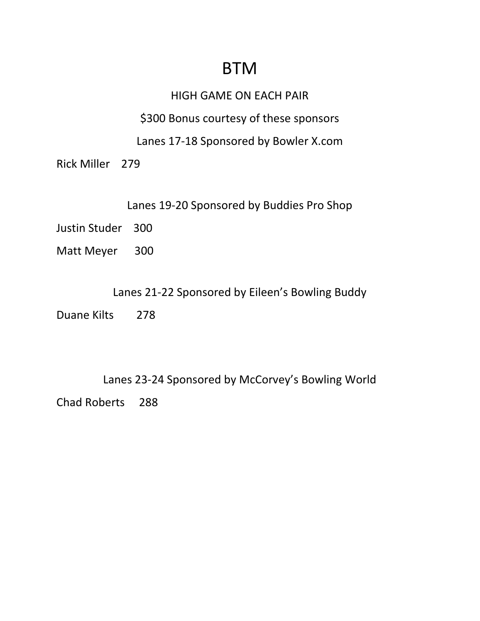#### **BTM**

#### HIGH GAME ON EACH PAIR

\$300 Bonus courtesy of these sponsors

Lanes 17-18 Sponsored by Bowler X.com

Rick Miller 279

Lanes 19-20 Sponsored by Buddies Pro Shop

Justin Studer 300

Matt Meyer 300

Lanes 21-22 Sponsored by Eileen's Bowling Buddy

Duane Kilts 278

Lanes 23-24 Sponsored by McCorvey's Bowling World Chad Roberts 288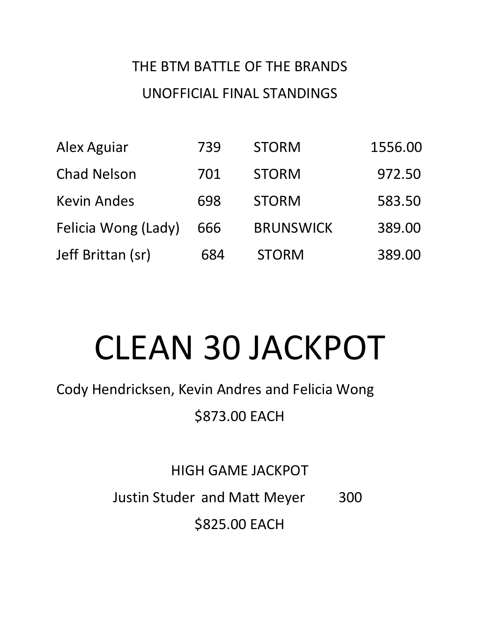## THE BTM BATTLE OF THE BRANDS UNOFFICIAL FINAL STANDINGS

| Alex Aguiar         | 739 | <b>STORM</b>     | 1556.00 |
|---------------------|-----|------------------|---------|
| <b>Chad Nelson</b>  | 701 | <b>STORM</b>     | 972.50  |
| <b>Kevin Andes</b>  | 698 | <b>STORM</b>     | 583.50  |
| Felicia Wong (Lady) | 666 | <b>BRUNSWICK</b> | 389.00  |
| Jeff Brittan (sr)   | 684 | <b>STORM</b>     | 389.00  |

# CLEAN 30 JACKPOT

Cody Hendricksen, Kevin Andres and Felicia Wong

\$873.00 EACH

HIGH GAME JACKPOT

Justin Studer and Matt Meyer 300

\$825.00 EACH